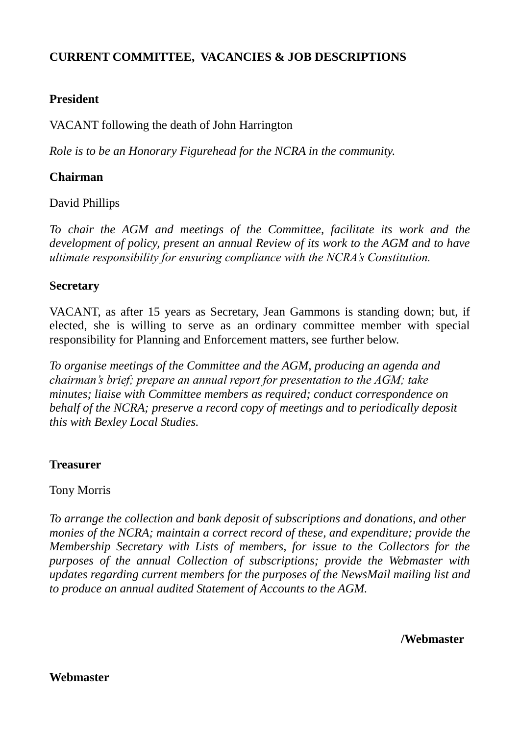# **CURRENT COMMITTEE, VACANCIES & JOB DESCRIPTIONS**

# **President**

VACANT following the death of John Harrington

*Role is to be an Honorary Figurehead for the NCRA in the community.*

# **Chairman**

David Phillips

*To chair the AGM and meetings of the Committee, facilitate its work and the development of policy, present an annual Review of its work to the AGM and to have ultimate responsibility for ensuring compliance with the NCRA's Constitution.*

#### **Secretary**

VACANT, as after 15 years as Secretary, Jean Gammons is standing down; but, if elected, she is willing to serve as an ordinary committee member with special responsibility for Planning and Enforcement matters, see further below.

*To organise meetings of the Committee and the AGM, producing an agenda and chairman's brief; prepare an annual report for presentation to the AGM; take minutes; liaise with Committee members as required; conduct correspondence on behalf of the NCRA; preserve a record copy of meetings and to periodically deposit this with Bexley Local Studies.* 

#### **Treasurer**

Tony Morris

*To arrange the collection and bank deposit of subscriptions and donations, and other monies of the NCRA; maintain a correct record of these, and expenditure; provide the Membership Secretary with Lists of members, for issue to the Collectors for the purposes of the annual Collection of subscriptions; provide the Webmaster with updates regarding current members for the purposes of the NewsMail mailing list and to produce an annual audited Statement of Accounts to the AGM.*

 **/Webmaster**

**Webmaster**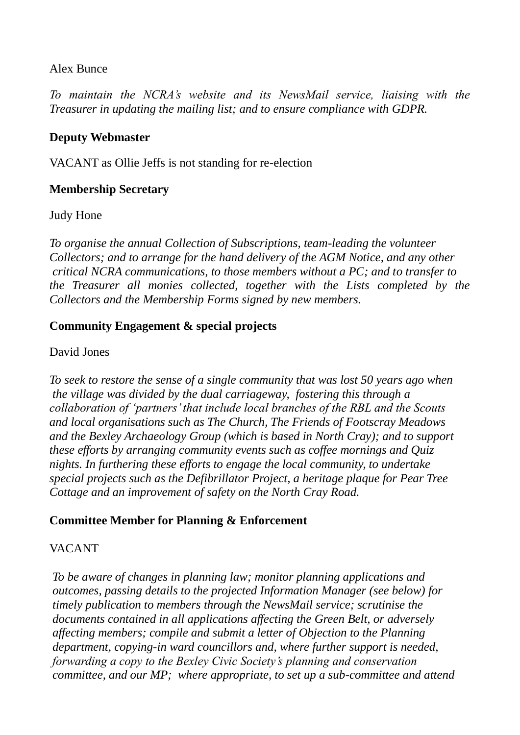## Alex Bunce

*To maintain the NCRA's website and its NewsMail service, liaising with the Treasurer in updating the mailing list; and to ensure compliance with GDPR.* 

## **Deputy Webmaster**

VACANT as Ollie Jeffs is not standing for re-election

# **Membership Secretary**

Judy Hone

*To organise the annual Collection of Subscriptions, team-leading the volunteer Collectors; and to arrange for the hand delivery of the AGM Notice, and any other critical NCRA communications, to those members without a PC; and to transfer to the Treasurer all monies collected, together with the Lists completed by the Collectors and the Membership Forms signed by new members.* 

# **Community Engagement & special projects**

## David Jones

*To seek to restore the sense of a single community that was lost 50 years ago when the village was divided by the dual carriageway, fostering this through a collaboration of 'partners' that include local branches of the RBL and the Scouts and local organisations such as The Church, The Friends of Footscray Meadows and the Bexley Archaeology Group (which is based in North Cray); and to support these efforts by arranging community events such as coffee mornings and Quiz nights. In furthering these efforts to engage the local community, to undertake special projects such as the Defibrillator Project, a heritage plaque for Pear Tree Cottage and an improvement of safety on the North Cray Road.* 

# **Committee Member for Planning & Enforcement**

# VACANT

*To be aware of changes in planning law; monitor planning applications and outcomes, passing details to the projected Information Manager (see below) for timely publication to members through the NewsMail service; scrutinise the documents contained in all applications affecting the Green Belt, or adversely affecting members; compile and submit a letter of Objection to the Planning department, copying-in ward councillors and, where further support is needed, forwarding a copy to the Bexley Civic Society's planning and conservation committee, and our MP; where appropriate, to set up a sub-committee and attend*